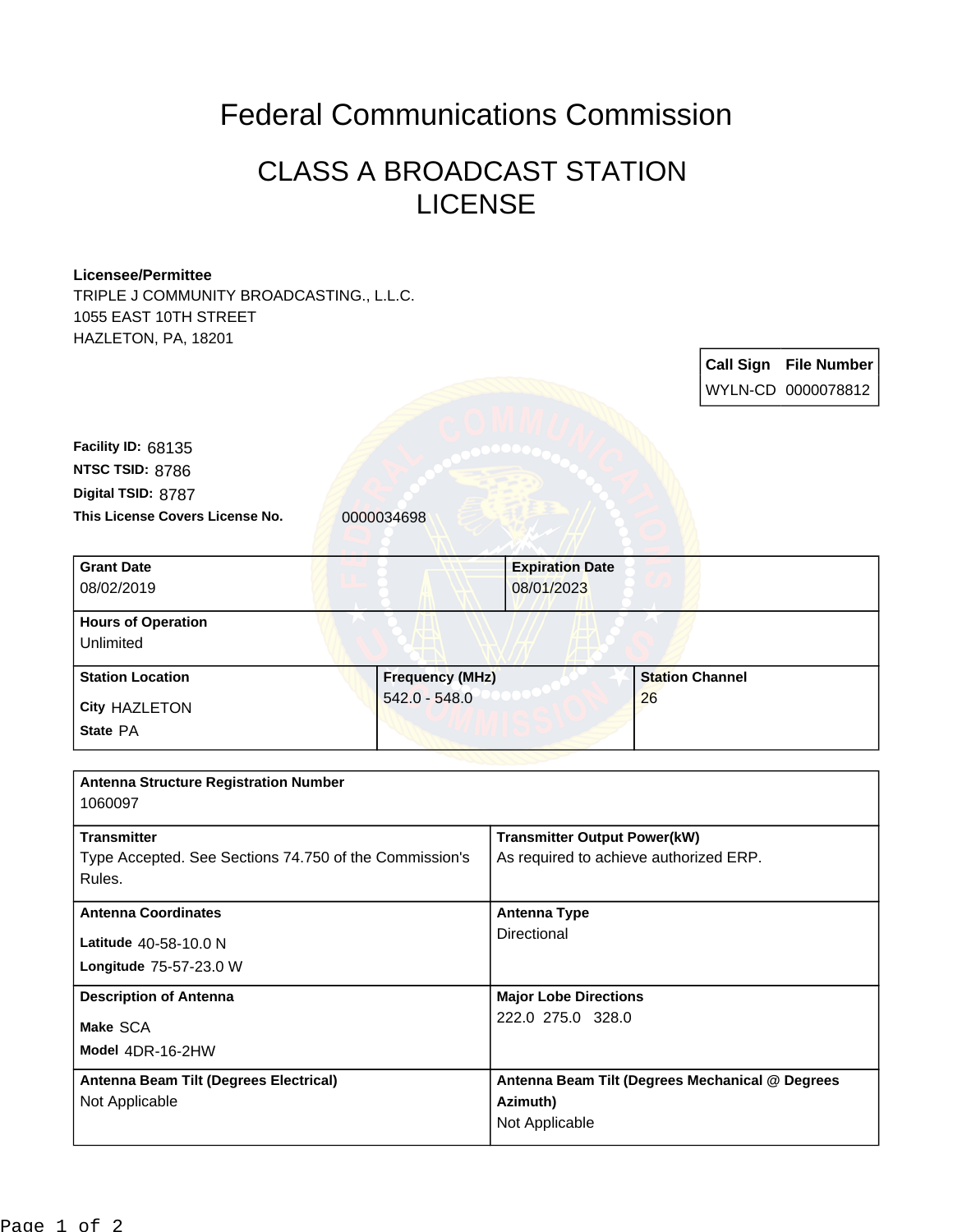## Federal Communications Commission

## CLASS A BROADCAST STATION LICENSE

## **Licensee/Permittee**

TRIPLE J COMMUNITY BROADCASTING., L.L.C. 1055 EAST 10TH STREET HAZLETON, PA, 18201

**Call Sign File Number** WYLN-CD 0000078812 This License Covers License No. 0000034698 **Digital TSID:** 8787 **NTSC TSID:** 8786 **Facility ID:** 68135 **Model** 4DR-16-2HW **Make** SCA **Longitude** 75-57-23.0 W **Latitude** 40-58-10.0 N **State** PA **City** HAZLETON **Grant Date** 08/02/2019 **Expiration Date** 08/01/2023 **Hours of Operation** Unlimited **Station Location Figure 1.1 Construction Figure 1.1 Construction Figure 1.1 Construction Figure 1.1 Construction** 542.0 - 548.0 **Station Channel** 26 **Antenna Structure Registration Number** 1060097 **Transmitter** Type Accepted. See Sections 74.750 of the Commission's Rules. **Transmitter Output Power(kW)** As required to achieve authorized ERP. **Antenna Coordinates Antenna Type Directional Description of Antenna Major Lobe Directions** 222.0 275.0 328.0 **Antenna Beam Tilt (Degrees Electrical)** Not Applicable **Antenna Beam Tilt (Degrees Mechanical @ Degrees Azimuth)** Not Applicable